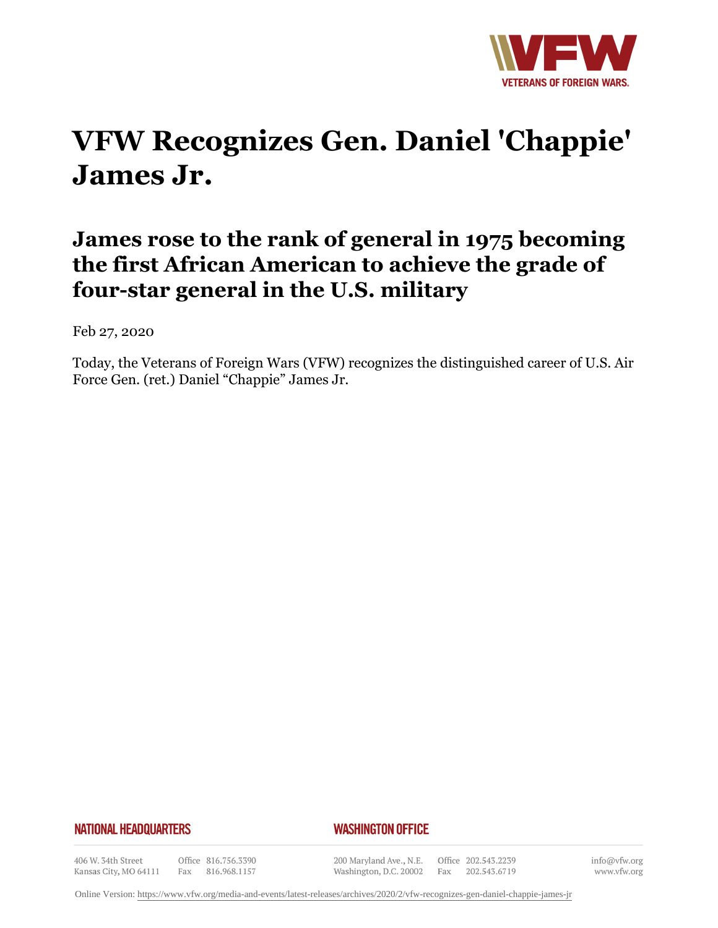

## **VFW Recognizes Gen. Daniel 'Chappie' James Jr.**

## **James rose to the rank of general in 1975 becoming the first African American to achieve the grade of four-star general in the U.S. military**

Feb 27, 2020

Today, the Veterans of Foreign Wars (VFW) recognizes the distinguished career of U.S. Air Force Gen. (ret.) Daniel "Chappie" James Jr.

## **NATIONAL HEADQUARTERS**

## **WASHINGTON OFFICE**

406 W. 34th Street Kansas City, MO 64111

Office 816.756.3390 Fax 816.968.1157

200 Maryland Ave., N.E. Washington, D.C. 20002 Fax

Office 202.543.2239 202.543.6719 info@vfw.org www.vfw.org

Online Version:<https://www.vfw.org/media-and-events/latest-releases/archives/2020/2/vfw-recognizes-gen-daniel-chappie-james-jr>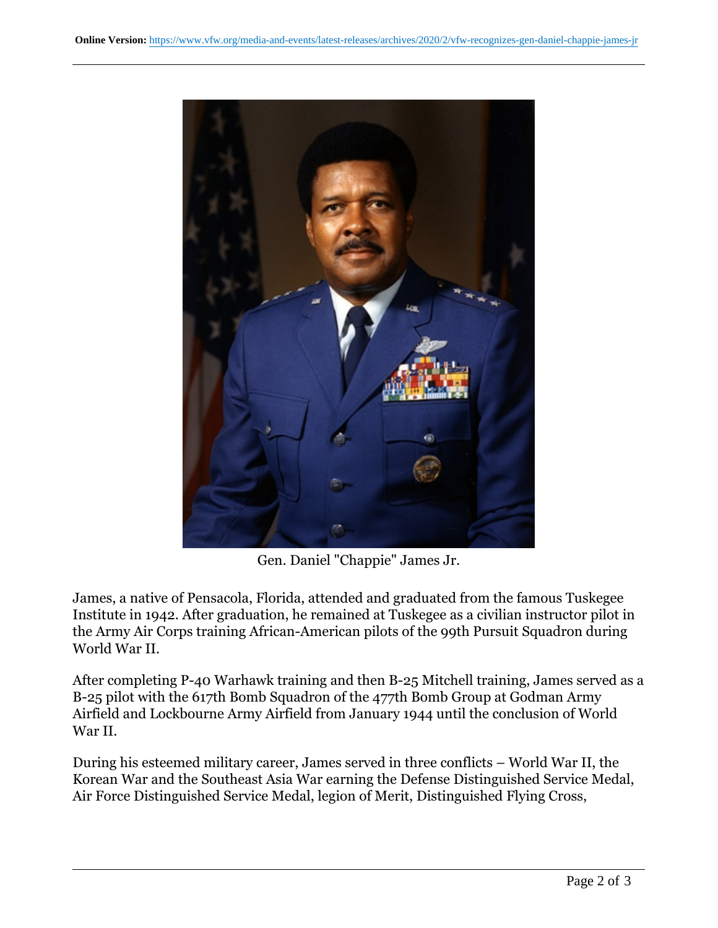

Gen. Daniel "Chappie" James Jr.

James, a native of Pensacola, Florida, attended and graduated from the famous Tuskegee Institute in 1942. After graduation, he remained at Tuskegee as a civilian instructor pilot in the Army Air Corps training African-American pilots of the 99th Pursuit Squadron during World War II.

After completing P-40 Warhawk training and then B-25 Mitchell training, James served as a B-25 pilot with the 617th Bomb Squadron of the 477th Bomb Group at Godman Army Airfield and Lockbourne Army Airfield from January 1944 until the conclusion of World War II.

During his esteemed military career, James served in three conflicts – World War II, the Korean War and the Southeast Asia War earning the Defense Distinguished Service Medal, Air Force Distinguished Service Medal, legion of Merit, Distinguished Flying Cross,